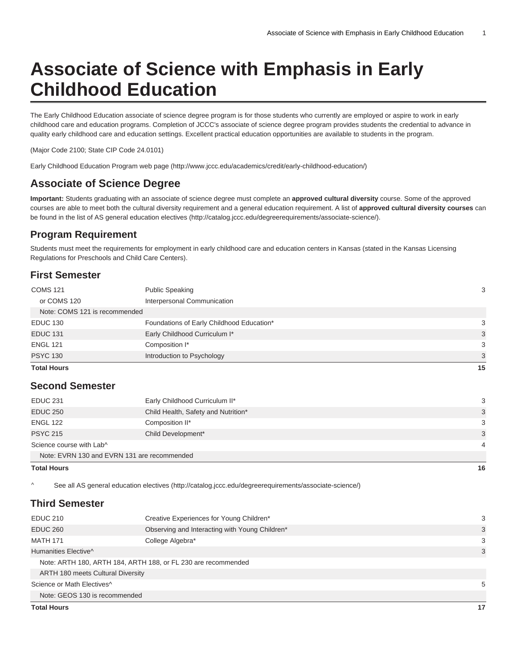# **Associate of Science with Emphasis in Early Childhood Education**

The Early Childhood Education associate of science degree program is for those students who currently are employed or aspire to work in early childhood care and education programs. Completion of JCCC's associate of science degree program provides students the credential to advance in quality early childhood care and education settings. Excellent practical education opportunities are available to students in the program.

(Major Code 2100; State CIP Code 24.0101)

[Early Childhood Education Program web page](http://www.jccc.edu/academics/credit/early-childhood-education/) (<http://www.jccc.edu/academics/credit/early-childhood-education/>)

## **Associate of Science Degree**

**Important:** Students graduating with an associate of science degree must complete an **approved cultural diversity** course. Some of the approved courses are able to meet both the cultural diversity requirement and a general education requirement. A list of **approved cultural diversity courses** can be found in the [list of AS general education electives](http://catalog.jccc.edu/degreerequirements/associate-science/) ([http://catalog.jccc.edu/degreerequirements/associate-science/\)](http://catalog.jccc.edu/degreerequirements/associate-science/).

#### **Program Requirement**

Students must meet the requirements for employment in early childhood care and education centers in Kansas (stated in the Kansas Licensing Regulations for Preschools and Child Care Centers).

### **First Semester**

| <b>Total Hours</b>            |                                           | 15 |
|-------------------------------|-------------------------------------------|----|
| <b>PSYC 130</b>               | Introduction to Psychology                | 3  |
| <b>ENGL 121</b>               | Composition I*                            | 3  |
| <b>EDUC 131</b>               | Early Childhood Curriculum I*             | 3  |
| <b>EDUC 130</b>               | Foundations of Early Childhood Education* | 3  |
| Note: COMS 121 is recommended |                                           |    |
| or COMS 120                   | Interpersonal Communication               |    |
| <b>COMS 121</b>               | <b>Public Speaking</b>                    | 3  |
|                               |                                           |    |

#### **Second Semester**

| <b>EDUC 231</b>                             | Early Childhood Curriculum II*      | 3 |  |  |
|---------------------------------------------|-------------------------------------|---|--|--|
| <b>EDUC 250</b>                             | Child Health, Safety and Nutrition* | 3 |  |  |
| <b>ENGL 122</b>                             | Composition II*                     | 3 |  |  |
| <b>PSYC 215</b>                             | Child Development*                  | 3 |  |  |
| Science course with Lab^                    |                                     |   |  |  |
| Note: EVRN 130 and EVRN 131 are recommended |                                     |   |  |  |

#### **Total Hours 16**

^ [See all AS general education electives \(http://catalog.jccc.edu/degreerequirements/associate-science/\)](http://catalog.jccc.edu/degreerequirements/associate-science/)

#### **Third Semester**

| <b>EDUC 210</b>                          | Creative Experiences for Young Children*                      | 3  |
|------------------------------------------|---------------------------------------------------------------|----|
| <b>EDUC 260</b>                          | Observing and Interacting with Young Children*                | 3  |
| <b>MATH 171</b>                          | College Algebra*                                              | 3  |
| Humanities Elective <sup>^</sup>         |                                                               | 3  |
|                                          | Note: ARTH 180, ARTH 184, ARTH 188, or FL 230 are recommended |    |
| <b>ARTH 180 meets Cultural Diversity</b> |                                                               |    |
| Science or Math Electives <sup>^</sup>   | 5                                                             |    |
| Note: GEOS 130 is recommended            |                                                               |    |
| <b>Total Hours</b>                       |                                                               | 17 |